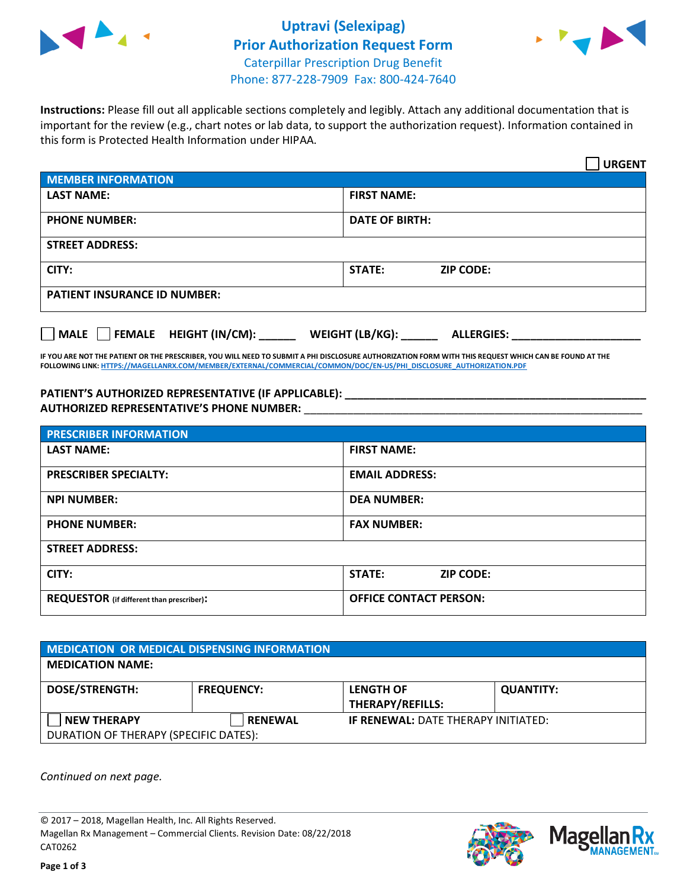



**Instructions:** Please fill out all applicable sections completely and legibly. Attach any additional documentation that is important for the review (e.g., chart notes or lab data, to support the authorization request). Information contained in this form is Protected Health Information under HIPAA.

|                                       | <b>URGENT</b>                        |  |  |  |
|---------------------------------------|--------------------------------------|--|--|--|
| <b>MEMBER INFORMATION</b>             |                                      |  |  |  |
| <b>LAST NAME:</b>                     | <b>FIRST NAME:</b>                   |  |  |  |
| <b>PHONE NUMBER:</b>                  | <b>DATE OF BIRTH:</b>                |  |  |  |
| <b>STREET ADDRESS:</b>                |                                      |  |  |  |
| CITY:                                 | <b>ZIP CODE:</b><br>STATE:           |  |  |  |
| <b>PATIENT INSURANCE ID NUMBER:</b>   |                                      |  |  |  |
| FEMALE HEIGHT (IN/CM):<br><b>MALE</b> | WEIGHT (LB/KG):<br><b>ALLERGIES:</b> |  |  |  |

**IF YOU ARE NOT THE PATIENT OR THE PRESCRIBER, YOU WILL NEED TO SUBMIT A PHI DISCLOSURE AUTHORIZATION FORM WITH THIS REQUEST WHICH CAN BE FOUND AT THE FOLLOWING LINK[: HTTPS://MAGELLANRX.COM/MEMBER/EXTERNAL/COMMERCIAL/COMMON/DOC/EN-US/PHI\\_DISCLOSURE\\_AUTHORIZATION.PDF](https://magellanrx.com/member/external/commercial/common/doc/en-us/PHI_Disclosure_Authorization.pdf)**

**PATIENT'S AUTHORIZED REPRESENTATIVE (IF APPLICABLE): \_\_\_\_\_\_\_\_\_\_\_\_\_\_\_\_\_\_\_\_\_\_\_\_\_\_\_\_\_\_\_\_\_\_\_\_\_\_\_\_\_\_\_\_\_\_\_\_\_ AUTHORIZED REPRESENTATIVE'S PHONE NUMBER:** \_\_\_\_\_\_\_\_\_\_\_\_\_\_\_\_\_\_\_\_\_\_\_\_\_\_\_\_\_\_\_\_\_\_\_\_\_\_\_\_\_\_\_\_\_\_\_\_\_\_\_\_\_\_\_

| <b>PRESCRIBER INFORMATION</b>             |                                   |  |  |
|-------------------------------------------|-----------------------------------|--|--|
| <b>LAST NAME:</b>                         | <b>FIRST NAME:</b>                |  |  |
| <b>PRESCRIBER SPECIALTY:</b>              | <b>EMAIL ADDRESS:</b>             |  |  |
| <b>NPI NUMBER:</b>                        | <b>DEA NUMBER:</b>                |  |  |
| <b>PHONE NUMBER:</b>                      | <b>FAX NUMBER:</b>                |  |  |
| <b>STREET ADDRESS:</b>                    |                                   |  |  |
| CITY:                                     | <b>STATE:</b><br><b>ZIP CODE:</b> |  |  |
| REQUESTOR (if different than prescriber): | <b>OFFICE CONTACT PERSON:</b>     |  |  |

| <b>MEDICATION OR MEDICAL DISPENSING INFORMATION</b> |                   |                                             |                  |  |  |
|-----------------------------------------------------|-------------------|---------------------------------------------|------------------|--|--|
| <b>MEDICATION NAME:</b>                             |                   |                                             |                  |  |  |
| <b>DOSE/STRENGTH:</b>                               | <b>FREQUENCY:</b> | <b>LENGTH OF</b><br><b>THERAPY/REFILLS:</b> | <b>QUANTITY:</b> |  |  |
| <b>NEW THERAPY</b>                                  | <b>RENEWAL</b>    | <b>IF RENEWAL: DATE THERAPY INITIATED:</b>  |                  |  |  |
| DURATION OF THERAPY (SPECIFIC DATES):               |                   |                                             |                  |  |  |

*Continued on next page.*

© 2017 – 2018, Magellan Health, Inc. All Rights Reserved. Magellan Rx Management – Commercial Clients. Revision Date: 08/22/2018 CAT0262



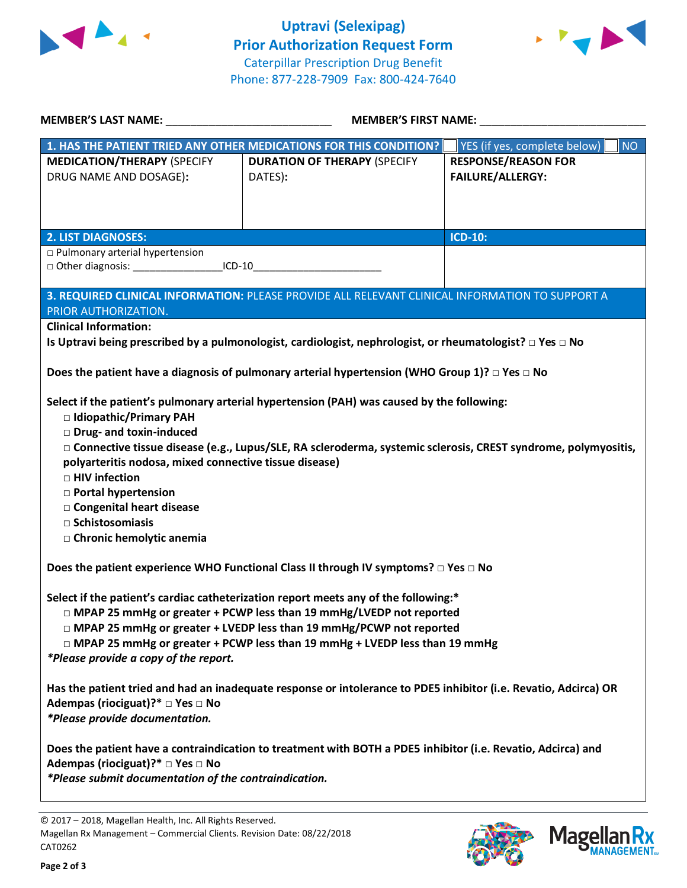



| MEMBER'S LAST NAME: NAME:                                                                                                                                                                                                                                                                                                                                                                                                                                               | <b>MEMBER'S FIRST NAME:</b>                                                                                                                                                                                                           |                                                       |  |  |
|-------------------------------------------------------------------------------------------------------------------------------------------------------------------------------------------------------------------------------------------------------------------------------------------------------------------------------------------------------------------------------------------------------------------------------------------------------------------------|---------------------------------------------------------------------------------------------------------------------------------------------------------------------------------------------------------------------------------------|-------------------------------------------------------|--|--|
|                                                                                                                                                                                                                                                                                                                                                                                                                                                                         | 1. HAS THE PATIENT TRIED ANY OTHER MEDICATIONS FOR THIS CONDITION?                                                                                                                                                                    | YES (if yes, complete below)<br>NO                    |  |  |
| <b>MEDICATION/THERAPY (SPECIFY</b><br>DRUG NAME AND DOSAGE):                                                                                                                                                                                                                                                                                                                                                                                                            | <b>DURATION OF THERAPY (SPECIFY</b><br>DATES):                                                                                                                                                                                        | <b>RESPONSE/REASON FOR</b><br><b>FAILURE/ALLERGY:</b> |  |  |
| <b>2. LIST DIAGNOSES:</b>                                                                                                                                                                                                                                                                                                                                                                                                                                               |                                                                                                                                                                                                                                       | <b>ICD-10:</b>                                        |  |  |
| $\Box$ Pulmonary arterial hypertension<br>□ Other diagnosis: ________________________ICD-10______________________________                                                                                                                                                                                                                                                                                                                                               |                                                                                                                                                                                                                                       |                                                       |  |  |
| PRIOR AUTHORIZATION.                                                                                                                                                                                                                                                                                                                                                                                                                                                    | 3. REQUIRED CLINICAL INFORMATION: PLEASE PROVIDE ALL RELEVANT CLINICAL INFORMATION TO SUPPORT A                                                                                                                                       |                                                       |  |  |
| <b>Clinical Information:</b>                                                                                                                                                                                                                                                                                                                                                                                                                                            | Is Uptravi being prescribed by a pulmonologist, cardiologist, nephrologist, or rheumatologist? $\Box$ Yes $\Box$ No<br>Does the patient have a diagnosis of pulmonary arterial hypertension (WHO Group 1)? $\square$ Yes $\square$ No |                                                       |  |  |
|                                                                                                                                                                                                                                                                                                                                                                                                                                                                         |                                                                                                                                                                                                                                       |                                                       |  |  |
| Select if the patient's pulmonary arterial hypertension (PAH) was caused by the following:<br>□ Idiopathic/Primary PAH<br>Drug- and toxin-induced<br>□ Connective tissue disease (e.g., Lupus/SLE, RA scleroderma, systemic sclerosis, CREST syndrome, polymyositis,<br>polyarteritis nodosa, mixed connective tissue disease)<br>□ HIV infection<br><b>D</b> Portal hypertension<br>□ Congenital heart disease<br>$\Box$ Schistosomiasis<br>□ Chronic hemolytic anemia |                                                                                                                                                                                                                                       |                                                       |  |  |
|                                                                                                                                                                                                                                                                                                                                                                                                                                                                         | Does the patient experience WHO Functional Class II through IV symptoms? $\Box$ Yes $\Box$ No                                                                                                                                         |                                                       |  |  |
| Select if the patient's cardiac catheterization report meets any of the following:*<br>□ MPAP 25 mmHg or greater + PCWP less than 19 mmHg/LVEDP not reported<br>□ MPAP 25 mmHg or greater + LVEDP less than 19 mmHg/PCWP not reported<br>□ MPAP 25 mmHg or greater + PCWP less than 19 mmHg + LVEDP less than 19 mmHg<br>*Please provide a copy of the report.                                                                                                          |                                                                                                                                                                                                                                       |                                                       |  |  |
| Adempas (riociguat)?* □ Yes □ No<br>*Please provide documentation.                                                                                                                                                                                                                                                                                                                                                                                                      | Has the patient tried and had an inadequate response or intolerance to PDE5 inhibitor (i.e. Revatio, Adcirca) OR                                                                                                                      |                                                       |  |  |
| Does the patient have a contraindication to treatment with BOTH a PDE5 inhibitor (i.e. Revatio, Adcirca) and<br>Adempas (riociguat)?* □ Yes □ No<br>*Please submit documentation of the contraindication.                                                                                                                                                                                                                                                               |                                                                                                                                                                                                                                       |                                                       |  |  |

© 2017 – 2018, Magellan Health, Inc. All Rights Reserved. Magellan Rx Management – Commercial Clients. Revision Date: 08/22/2018 CAT0262